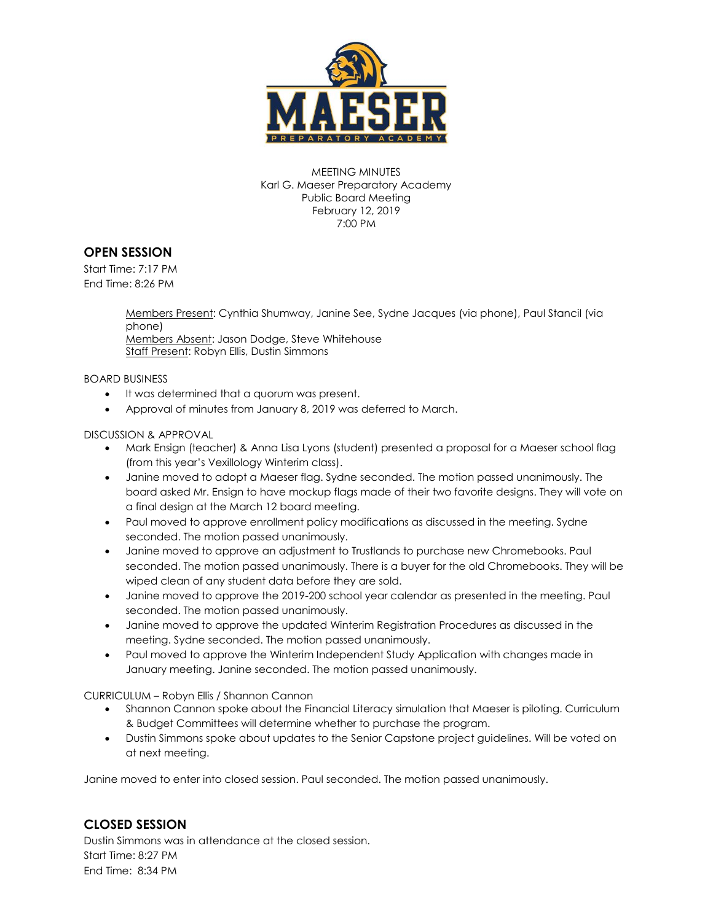

MEETING MINUTES Karl G. Maeser Preparatory Academy Public Board Meeting February 12, 2019 7:00 PM

## **OPEN SESSION**

Start Time: 7:17 PM End Time: 8:26 PM

> Members Present: Cynthia Shumway, Janine See, Sydne Jacques (via phone), Paul Stancil (via phone)

Members Absent: Jason Dodge, Steve Whitehouse Staff Present: Robyn Ellis, Dustin Simmons

BOARD BUSINESS

- $\bullet$  It was determined that a quorum was present.
- Approval of minutes from January 8, 2019 was deferred to March.

## DISCUSSION & APPROVAL

- Mark Ensign (teacher) & Anna Lisa Lyons (student) presented a proposal for a Maeser school flag (from this year's Vexillology Winterim class).
- Janine moved to adopt a Maeser flag. Sydne seconded. The motion passed unanimously. The board asked Mr. Ensign to have mockup flags made of their two favorite designs. They will vote on a final design at the March 12 board meeting.
- Paul moved to approve enrollment policy modifications as discussed in the meeting. Sydne seconded. The motion passed unanimously.
- Janine moved to approve an adjustment to Trustlands to purchase new Chromebooks. Paul seconded. The motion passed unanimously. There is a buyer for the old Chromebooks. They will be wiped clean of any student data before they are sold.
- Janine moved to approve the 2019-200 school year calendar as presented in the meeting. Paul seconded. The motion passed unanimously.
- Janine moved to approve the updated Winterim Registration Procedures as discussed in the meeting. Sydne seconded. The motion passed unanimously.
- Paul moved to approve the Winterim Independent Study Application with changes made in January meeting. Janine seconded. The motion passed unanimously.

CURRICULUM – Robyn Ellis / Shannon Cannon

- Shannon Cannon spoke about the Financial Literacy simulation that Maeser is piloting. Curriculum & Budget Committees will determine whether to purchase the program.
- Dustin Simmons spoke about updates to the Senior Capstone project guidelines. Will be voted on at next meeting.

Janine moved to enter into closed session. Paul seconded. The motion passed unanimously.

## **CLOSED SESSION**

Dustin Simmons was in attendance at the closed session. Start Time: 8:27 PM End Time: 8:34 PM